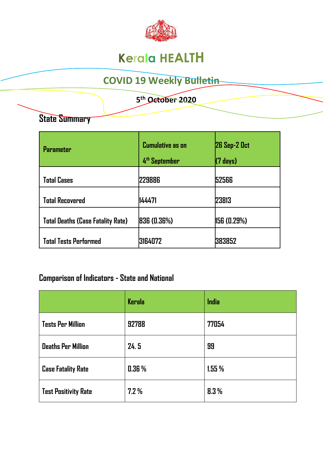

# **Kerala HEALTH**

# **COVID 19 Weekly Bulletin**

 **5 th October 2020**

### **State Summary**

| <b>Parameter</b>                         | <b>Cumulative as on</b><br>4 <sup>th</sup> September | <b>26 Sep-2 Oct</b><br>$(7 \text{ days})$ |
|------------------------------------------|------------------------------------------------------|-------------------------------------------|
| <b>Total Cases</b>                       | 229886                                               | 52566                                     |
| <b>Total Recovered</b>                   | 144471                                               | 23813                                     |
| <b>Total Deaths (Case Fatality Rate)</b> | <b>836 (0.36%)</b>                                   | 156 (0.29%)                               |
| <b>Total Tests Performed</b>             | 3164072                                              | 1383852                                   |

### **Comparison of Indicators - State and National**

|                             | <b>Kerala</b> | India |
|-----------------------------|---------------|-------|
| <b>Tests Per Million</b>    | 92788         | 77054 |
| <b>Deaths Per Million</b>   | 24.5          | 99    |
| <b>Case Fatality Rate</b>   | 0.36%         | 1.55% |
| <b>Test Positivity Rate</b> | 7.2%          | 8.3%  |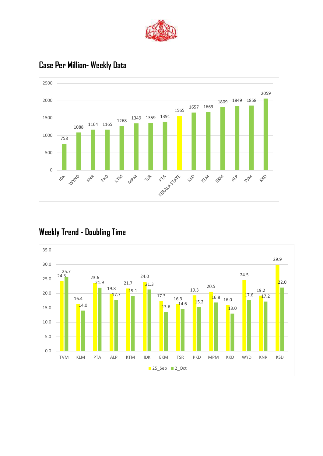



#### **Case Per Million- Weekly Data**

### **Weekly Trend - Doubling Time**

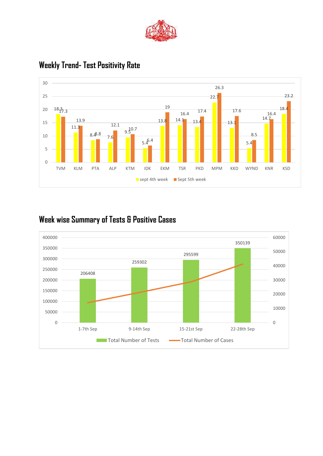



#### **Weekly Trend- Test Positivity Rate**

### **Week wise Summary of Tests & Positive Cases**

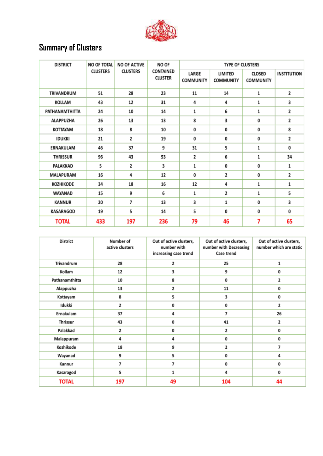

# **Summary of Clusters**

| <b>DISTRICT</b>  | <b>NO OF TOTAL</b><br><b>NO OF ACTIVE</b><br>NO OF<br><b>CLUSTERS</b><br><b>CLUSTERS</b> |                             | <b>TYPE OF CLUSTERS</b>   |                                    |                            |                    |    |
|------------------|------------------------------------------------------------------------------------------|-----------------------------|---------------------------|------------------------------------|----------------------------|--------------------|----|
|                  |                                                                                          | CONTAINED<br><b>CLUSTER</b> | LARGE<br><b>COMMUNITY</b> | <b>LIMITED</b><br><b>COMMUNITY</b> | CLOSED<br><b>COMMUNITY</b> | <b>INSTITUTION</b> |    |
| TRIVANDRUM       | 51                                                                                       | 28                          | 23                        | 11                                 | 14                         | 1                  | 2  |
| <b>KOLLAM</b>    | 43                                                                                       | 12                          | 31                        | 4                                  | 4                          | 1                  | 3  |
| PATHANAMTHITTA   | 24                                                                                       | 10                          | 14                        | 1                                  | 6                          | 1                  | 2  |
| <b>ALAPPUZHA</b> | 26                                                                                       | 13                          | 13                        | 8                                  | 3                          | 0                  | 2  |
| KOTTAYAM         | 18                                                                                       | 8                           | 10                        | 0                                  | 0                          | 0                  | 8  |
| <b>IDUKKI</b>    | 21                                                                                       | 2                           | 19                        | 0                                  | 0                          | 0                  | 2  |
| ERNAKULAM        | 46                                                                                       | 37                          | 9                         | 31                                 | 5                          | 1                  | 0  |
| <b>THRISSUR</b>  | 96                                                                                       | 43                          | 53                        | 2                                  | 6                          | 1                  | 34 |
| PALAKKAD         | 5                                                                                        | 2                           | 3                         | 1                                  | 0                          | 0                  | 1  |
| MALAPURAM        | 16                                                                                       | 4                           | 12                        | 0                                  | 2                          | 0                  | 2  |
| KOZHIKODE        | 34                                                                                       | 18                          | 16                        | 12                                 | 4                          | 1                  | 1  |
| WAYANAD          | 15                                                                                       | 9                           | 6                         | 1                                  | 2                          | 1                  | 5  |
| <b>KANNUR</b>    | 20                                                                                       | 7                           | 13                        | 3                                  | 1                          | 0                  | 3  |
| KASARAGOD        | 19                                                                                       | 5                           | 14                        | 5                                  | 0                          | 0                  | 0  |
| <b>TOTAL</b>     | 433                                                                                      | 197                         | 236                       | 79                                 | 46                         | 7                  | 65 |

| <b>District</b> | Number of<br>active clusters | Out of active clusters,<br>number with<br>increasing case trend | Out of active clusters,<br>number with Decreasing<br>Case trend | Out of active clusters,<br>number which are static |
|-----------------|------------------------------|-----------------------------------------------------------------|-----------------------------------------------------------------|----------------------------------------------------|
| Trivandrum      | 28                           | 2                                                               | 25                                                              | 1                                                  |
| Kollam          | 12                           | 3                                                               | 9                                                               | 0                                                  |
| Pathanamthitta  | 10                           | 8                                                               | 0                                                               | 2                                                  |
| Alappuzha       | 13                           | 2                                                               | 11                                                              | 0                                                  |
| Kottayam        | 8                            | 5                                                               | 3                                                               | 0                                                  |
| Idukki          | 2                            | 0                                                               | 0                                                               | $\overline{2}$                                     |
| Ernakulam       | 37                           | 4                                                               | 7                                                               | 26                                                 |
| Thrissur        | 43                           | 0                                                               | 41                                                              | 2                                                  |
| Palakkad        | 2                            | 0                                                               | 2                                                               | 0                                                  |
| Malappuram      | 4                            | 4                                                               | 0                                                               | 0                                                  |
| Kozhikode       | 18                           | 9                                                               | 2                                                               | 7                                                  |
| Wayanad         | 9                            | 5                                                               | 0                                                               | 4                                                  |
| Kannur          | 7                            | 7                                                               | 0                                                               | 0                                                  |
| Kasaragod       | 5                            | 1                                                               | 4                                                               | 0                                                  |
| <b>TOTAL</b>    | 197                          | 49                                                              | 104                                                             | 44                                                 |